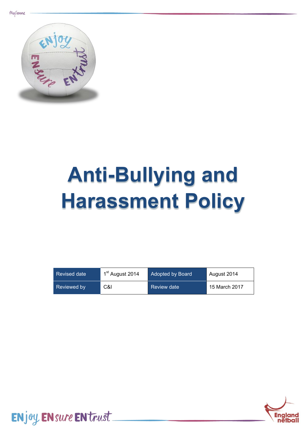

# **Anti-Bullying and Harassment Policy**

| Revised date | 1 <sup>st</sup> August 2014 | <b>Adopted by Board</b> | August 2014   |
|--------------|-----------------------------|-------------------------|---------------|
| Reviewed by  | C&I                         | Review date             | 15 March 2017 |



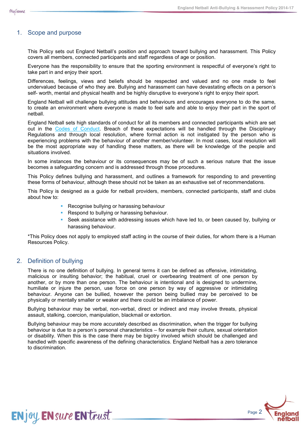## 1. Scope and purpose

This Policy sets out England Netball's position and approach toward bullying and harassment. This Policy covers all members, connected participants and staff regardless of age or position.

Everyone has the responsibility to ensure that the sporting environment is respectful of everyone's right to take part in and enjoy their sport.

Differences, feelings, views and beliefs should be respected and valued and no one made to feel undervalued because of who they are. Bullying and harassment can have devastating effects on a person's self- worth, mental and physical health and be highly disruptive to everyone's right to enjoy their sport.

England Netball will challenge bullying attitudes and behaviours and encourages everyone to do the same, to create an environment where everyone is made to feel safe and able to enjoy their part in the sport of netball.

England Netball sets high standards of conduct for all its members and connected participants which are set out in the Codes of [Conduct.](file:///C:/Users/alex.sexton/Downloads/Codes%20of%20Conduct%20from%201st%20September%202014.pdf) Breach of these expectations will be handled through the Disciplinary Regulations and through local resolution, where formal action is not instigated by the person who is experiencing problems with the behaviour of another member/volunteer. In most cases, local resolution will be the most appropriate way of handling these matters, as there will be knowledge of the people and situations involved.

In some instances the behaviour or its consequences may be of such a serious nature that the issue becomes a safeguarding concern and is addressed through those procedures.

This Policy defines bullying and harassment, and outlines a framework for responding to and preventing these forms of behaviour, although these should not be taken as an exhaustive set of recommendations.

This Policy is designed as a guide for netball providers, members, connected participants, staff and clubs about how to:

- Recognise bullying or harassing behaviour
- Respond to bullying or harassing behaviour.
- Seek assistance with addressing issues which have led to, or been caused by, bullying or harassing behaviour.

\*This Policy does not apply to employed staff acting in the course of their duties, for whom there is a Human Resources Policy.

## 2. Definition of bullying

**ENjoy ENsure EN trust** 

There is no one definition of bullying. In general terms it can be defined as offensive, intimidating, malicious or insulting behavior; the habitual, cruel or overbearing treatment of one person by another, or by more than one person. The behaviour is intentional and is designed to undermine, humiliate or injure the person, use force on one person by way of aggressive or intimidating behaviour. Anyone can be bullied, however the person being bullied may be perceived to be physically or mentally smaller or weaker and there could be an imbalance of power.

Bullying behaviour may be verbal, non-verbal, direct or indirect and may involve threats, physical assault, stalking, coercion, manipulation, blackmail or extortion.

Bullying behaviour may be more accurately described as discrimination, when the trigger for bullying behaviour is due to a person's personal characteristics – for example their culture, sexual orientation or disability. When this is the case there may be bigotry involved which should be challenged and handled with specific awareness of the defining characteristics. England Netball has a zero tolerance to discrimination.

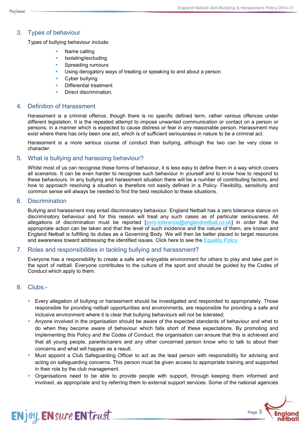## 3. Types of behaviour

Types of bullying behaviour include:

- Name calling
- Isolating/excluding
- Spreading rumours
- Using derogatory ways of treating or speaking to and about a person
- Cyber bullying
- Differential treatment
- Direct discrimination.

#### 4. Definition of Harassment

Harassment is a criminal offence, though there is no specific defined term, rather various offences under different legislation. It is the repeated attempt to impose unwanted communication or contact on a person or persons, in a manner which is expected to cause distress or fear in any reasonable person. Harassment may exist where there has only been one act, which is of sufficient seriousness in nature to be a criminal act.

Harassment is a more serious course of conduct than bullying, although the two can be very close in character.

#### 5. What is bullying and harassing behaviour?

Whilst most of us can recognise these forms of behaviour, it is less easy to define them in a way which covers all scenarios. It can be even harder to recognise such behaviour in yourself and to know how to respond to these behaviours. In any bullying and harassment situation there will be a number of contributing factors, and how to approach resolving a situation is therefore not easily defined in a Policy. Flexibility, sensitivity and common sense will always be needed to find the best resolution to these situations.

#### 6. Discrimination

Bullying and harassment may entail discriminatory behaviour. England Netball has a zero tolerance stance on discriminatory behaviour and for this reason will treat any such cases as of particular seriousness. All allegations of discrimination must be reported [\[zero-tolerance@englandnetball.co.uk\]](mailto:zero-tolerance@englandnetball.co.uk) in order that the appropriate action can be taken and that the level of such incidence and the nature of them, are known and England Netball is fulfilling its duties as a Governing Body. We will then be better placed to target resources and awareness toward addressing the identified issues. Click here to see the [Equality](file:///C:/Users/alex.sexton/Downloads/Equality%20Policy.pdf) Policy

#### 7. Roles and responsibilities in tackling bullying and harassment?

Everyone has a responsibility to create a safe and enjoyable environment for others to play and take part in the sport of netball. Everyone contributes to the culture of the sport and should be guided by the Codes of Conduct which apply to them.

## 8. Clubs:-

**ENjoy ENsure EN trust** 

- **E** Every allegation of bullying or harassment should be investigated and responded to appropriately. Those responsible for providing netball opportunities and environments, are responsible for providing a safe and inclusive environment where it is clear that bullying behaviours will not be tolerated;
- Anyone involved in the organisation should be aware of the expected standards of behaviour and what to do when they become aware of behaviour which falls short of these expectations. By promoting and implementing this Policy and the Codes of Conduct, the organisation can ensure that this is achieved and that all young people, parents/carers and any other concerned person know who to talk to about their concerns and what will happen as a result.
- Must appoint a Club Safeguarding Officer to act as the lead person with responsibility for advising and acting on safeguarding concerns. This person must be given access to appropriate training and supported in their role by the club management.
- Organisations need to be able to provide people with support, through keeping them informed and involved, as appropriate and by referring them to external support services. Some of the national agencies

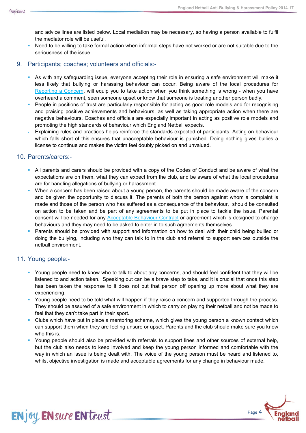and advice lines are listed below. Local mediation may be necessary, so having a person available to fulfil the mediator role will be useful.

- Need to be willing to take formal action when informal steps have not worked or are not suitable due to the seriousness of the issue.
- 9. Participants; coaches; volunteers and officials:-
	- As with any safeguarding issue, everyone accepting their role in ensuring a safe environment will make it less likely that bullying or harassing behaviour can occur. Being aware of the local procedures for [Reporting](file:///C:/Users/alex.sexton/Downloads/Reporting%20a%20Concern%20Procedure.docx) a Concern, will equip you to take action when you think something is wrong - when you have overheard a comment, seen someone upset or know that someone is treating another person badly.
	- People in positions of trust are particularly responsible for acting as good role models and for recognising and praising positive achievements and behaviours, as well as taking appropriate action when there are negative behaviours. Coaches and officials are especially important in acting as positive role models and promoting the high standards of behaviour which England Netball expects.
	- Explaining rules and practices helps reinforce the standards expected of participants. Acting on behaviour which falls short of this ensures that unacceptable behaviour is punished. Doing nothing gives bullies a license to continue and makes the victim feel doubly picked on and unvalued.

# 10. Parents/carers:-

- All parents and carers should be provided with a copy of the Codes of Conduct and be aware of what the expectations are on them, what they can expect from the club, and be aware of what the local procedures are for handling allegations of bullying or harassment.
- When a concern has been raised about a young person, the parents should be made aware of the concern and be given the opportunity to discuss it. The parents of both the person against whom a complaint is made and those of the person who has suffered as a consequence of the behaviour, should be consulted on action to be taken and be part of any agreements to be put in place to tackle the issue. Parental consent will be needed for any [Acceptable](file:///C:/Users/alex.sexton/Downloads/Acceptable%20Behaviour%20Contract.docx) Behaviour Contract or agreement which is designed to change behaviours and they may need to be asked to enter in to such agreements themselves.
- Parents should be provided with support and information on how to deal with their child being bullied or doing the bullying, including who they can talk to in the club and referral to support services outside the netball environment.

# 11. Young people:-

**ENjoy ENsure EN trust** 

- Young people need to know who to talk to about any concerns, and should feel confident that they will be listened to and action taken. Speaking out can be a brave step to take, and it is crucial that once this step has been taken the response to it does not put that person off opening up more about what they are experiencing.
- Young people need to be told what will happen if they raise a concern and supported through the process. They should be assured of a safe environment in which to carry on playing their netball and not be made to feel that they can't take part in their sport.
- Clubs which have put in place a mentoring scheme, which gives the young person a known contact which can support them when they are feeling unsure or upset. Parents and the club should make sure you know who this is.
- Young people should also be provided with referrals to support lines and other sources of external help, but the club also needs to keep involved and keep the young person informed and comfortable with the way in which an issue is being dealt with. The voice of the young person must be heard and listened to, whilst objective investigation is made and acceptable agreements for any change in behaviour made.